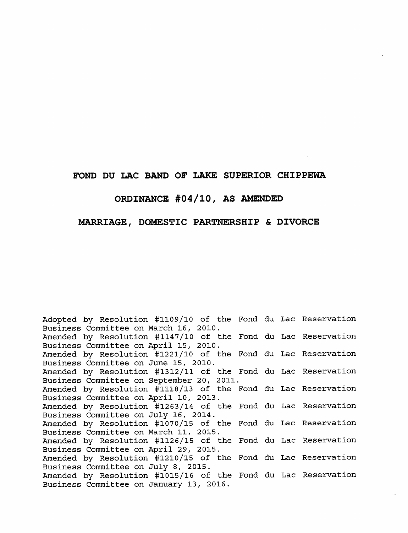## FOND DU LAC BAND OF LAKE SUPERIOR CHIPPEWA

## ORDINANCE #04/10, AS AMENDED

## MARRIAGE, DOMESTIC PARTNERSHIP & DIVORCE

Adopted by Resolution #1109/10 of the Fond du Lac Reservation Business Committee on March 16, 2010. Amended by Resolution #1147/10 of the Fond du Lac Reservation Business Committee on April 15, 2010. Amended by Resolution #1221/10 of the Fond du Lac Reservation Business Committee on June 15, 2010. Amended by Resolution #1312/11 of the Fond du Lac Reservation Business Committee on September 20, 2011. Amended by Resolution #1118/13 of the Fond du Lac Reservation Business Committee on April 10, 2013. Amended by Resolution #1263/14 of the Fond du Lac Reservation Business Committee on July 16, 2014. Amended by Resolution #1070/15 of the Fond du Lac Reservation Business Committee on March 11, 2015. Amended by Resolution #1126/15 of the Fond du Lac Reservation Business Committee on April 29, 2015. Amended by Resolution #1210/15 of the Fond du Lac Reservation Business Committee on July 8, 2015. Amended by Resolution #1015/16 of the Fond du Lac Reservation Business Committee on January 13, 2016.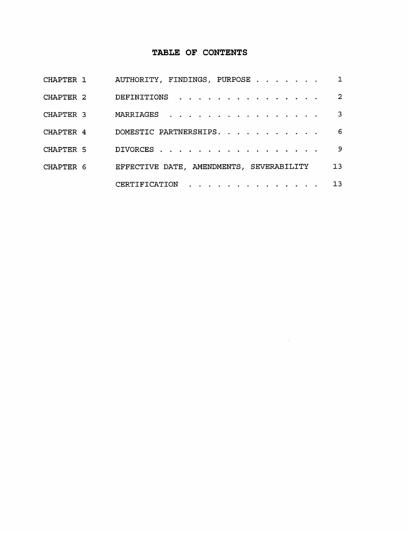# TABLE OF CONTENTS

| CHAPTER 1 | AUTHORITY, FINDINGS, PURPOSE             | $\mathbf{1}$    |
|-----------|------------------------------------------|-----------------|
| CHAPTER 2 | DEFINITIONS                              | 2               |
| CHAPTER 3 | MARRIAGES                                | $\mathbf{3}$    |
| CHAPTER 4 | DOMESTIC PARTNERSHIPS.                   | 6               |
| CHAPTER 5 | DIVORCES                                 | - 9             |
| CHAPTER 6 | EFFECTIVE DATE, AMENDMENTS, SEVERABILITY | 13 <sub>1</sub> |
|           | CERTIFICATION                            | 13 <sub>1</sub> |

 $\sim 10^7$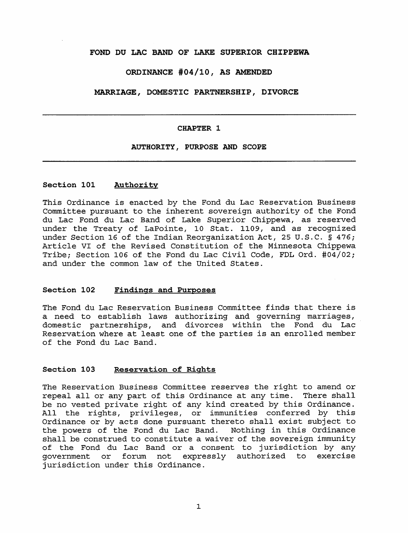## FOND DU LAC BAND OF LAKE SUPERIOR CHIPPEWA

## ORDINANCE #04/10, AS AMENDED

MARRIAGE, DOMESTIC PARTNERSHIP, DIVORCE

#### CHAPTER 1

## AUTHORITY, PURPOSE AND SCOPE

## Section 101 Authority

This Ordinance is enacted by the Fond du Lac Reservation Business Committee pursuant to the inherent sovereign authority of the Fond du Lac Fond du Lac Band of Lake Superior Chippewa, as reserved under the Treaty of LaPointe, 10 Stat. 1109, and as recognized under Section 16 of the Indian Reorganization Act, 25 U.S.C. § 476; Article VI of the Revised Constitution of the Minnesota Chippewa Tribe; Section 106 of the Fond du Lac Civil Code, FDL Ord. #04/02; and under the common law of the United States.

#### Section 102 Findings and Purposes

The Fond du Lac Reservation Business Committee finds that there is <sup>a</sup> need to establish laws authorizing and governing marriages, domestic partnerships, and divorces within the Fond du Lac Reservation where at least one of the parties is an enrolled member of the Fond du Lac Band.

## Section 103 Reservation of Rights

The Reservation Business Committee reserves the right to amend or repeal all or any part of this Ordinance at any time. There shall be no vested private right of any kind created by this Ordinance. All the rights, privileges, or immunities conferred by this Ordinance or by acts done pursuant thereto shall exist subject to the powers of the Fond du Lac Band. Nothing in this Ordinance shall be construed to constitute <sup>a</sup> waiver of the sovereign immunity of the Fond du Lac Band or <sup>a</sup> consent to jurisdiction by any government or forum not expressly authorized to exercise jurisdiction under this Ordinance.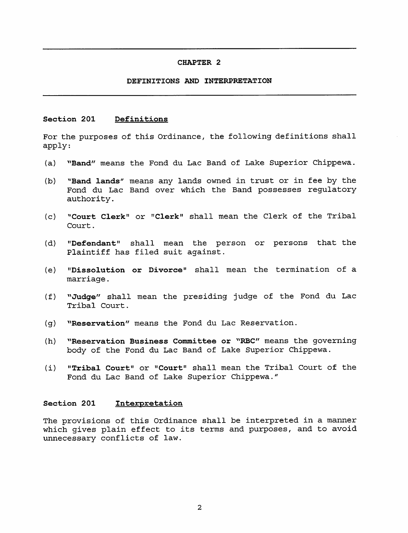### CHAPTER 2

## DEFINITIONS AND INTERPRETATION

## Section 201 Definitions

For the purposes of this Ordinance, the following definitions shall apply:

- (a) ^^Band" means the Fond du Lac Band of Lake Superior Chippewa.
- (b) "Band lands" means any lands owned in trust or in fee by the Fond du Lac Band over which the Band possesses regulatory authority.
- (c) "Court Clerk" or "Clerk" shall mean the Clerk of the Tribal Court.
- (d) "Defendant" shall mean the person or persons that the Plaintiff has filed suit against.
- (e) "Dissolution or Divorce" shall mean the termination of <sup>a</sup> marriage.
- (f) "Judge" shall mean the presiding judge of the Fond du Lac Tribal Court.
- (g) "Reservation" means the Fond du Lac Reservation.
- (h) "Reservation Business Committee or "RBC" means the governing body of the Fond du Lac Band of Lake Superior Chippewa.
- (i) "Tribal Court" or "Court" shall mean the Tribal Court of the Fond du Lac Band of Lake Superior Chippewa."

## Section 201 Interpretation

The provisions of this Ordinance shall be interpreted in <sup>a</sup> manner which gives plain effect to its terms and purposes, and to avoid unnecessary conflicts of law.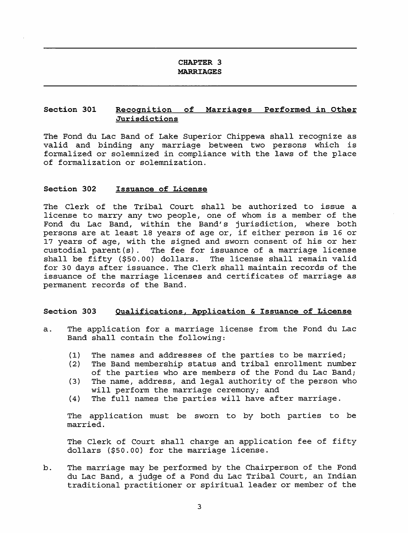## CHAPTER 3 MARRIAGES

## Section 301 Recognition of Marriages Performed in Other Jurisdictions

The Fond du Lac Band of Lake Superior Chippewa shall recognize as valid and binding any marriage between two persons which is formalized or solemnized in compliance with the laws of the place of formalization or solemnization.

#### Section 302 Issuance of License

The Clerk of the Tribal Court shall be authorized to issue <sup>a</sup> license to marry any two people, one of whom is <sup>a</sup> member of the Fond du Lac Band, within the Band's jurisdiction, where both persons are at least <sup>18</sup> years of age or, if either person is <sup>16</sup> or 17 years of age, with the signed and sworn consent of his or her custodial parent(s). The fee for issuance of a marriage license<br>shall be fifty (\$50.00) dollars. The license shall remain valid shall be fifty  $( $50.00)$  dollars. for 30 days after issuance. The Clerk shall maintain records of the issuance of the marriage licenses and certificates of marriage as permanent records of the Band.

## Section 303 Qualifications. Application & Issuance of License

- a. The application for <sup>a</sup> marriage license from the Fond du Lac Band shall contain the following:
	- (1) The names and addresses of the parties to be married;<br>(2) The Band membership status and tribal enrollment numb
	- The Band membership status and tribal enrollment number of the parties who are members of the Fond du Lac Band;
	- (3) The name, address, and legal authority of the person who will perform the marriage ceremony; and
	- (4) The full names the parties will have after marriage.

The application must be sworn to by both parties to be married.

The Clerk of Court shall charge an application fee of fifty dollars (\$50.00) for the marriage license.

b. The marriage may be performed by the Chairperson of the Fond du Lac Band, a judge of a Fond du Lac Tribal Court, an Indian traditional practitioner or spiritual leader or member of the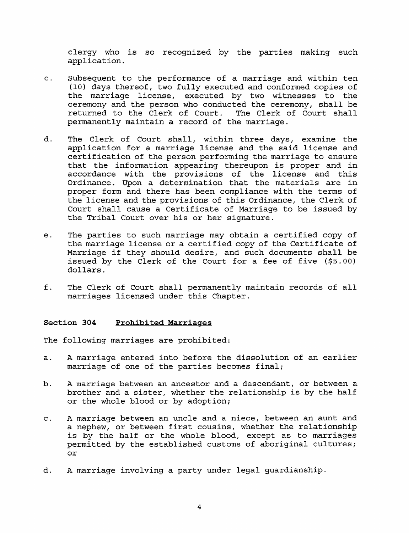clergy who is so recognized by the parties making such application.

- c. Subsequent to the performance of <sup>a</sup> marriage and within ten (10) days thereof, two fully executed and conformed copies of the marriage license, executed by two witnesses to the ceremony and the person who conducted the ceremony, shall be returned to the Clerk of Court. The Clerk of Court shall permanently maintain <sup>a</sup> record of the marriage.
- d. The Clerk of Court shall, within three days, examine the application for <sup>a</sup> marriage license and the said license and certification of the person performing the marriage to ensure that the information appearing thereupon is proper and in accordance with the provisions of the license and this Ordinance. Upon <sup>a</sup> determination that the materials are in proper form and there has been compliance with the terms of the license and the provisions of this Ordinance, the Clerk of Court shall cause <sup>a</sup> Certificate of Marriage to be issued by the Tribal Court over his or her signature.
- e. The parties to such marriage may obtain <sup>a</sup> certified copy of the marriage license or <sup>a</sup> certified copy of the Certificate of Marriage if they should desire, and such documents shall be issued by the Clerk of the Court for <sup>a</sup> fee of five (\$5.00) dollars.
- f. The Clerk of Court shall permanently maintain records of all marriages licensed under this Chapter.

## Section 304 Prohibited Marriages

The following marriages are prohibited:

- a. <sup>A</sup> marriage entered into before the dissolution of an earlier marriage of one of the parties becomes final;
- b. <sup>A</sup> marriage between an ancestor and <sup>a</sup> descendant, or between <sup>a</sup> brother and <sup>a</sup> sister, whether the relationship is by the half or the whole blood or by adoption;
- c. <sup>A</sup> marriage between an uncle and <sup>a</sup> niece, between an aunt and <sup>a</sup> nephew, or between first cousins, whether the relationship is by the half or the whole blood, except as to marriages permitted by the established customs of aboriginal cultures; or
- d. A marriage involving a party under legal guardianship.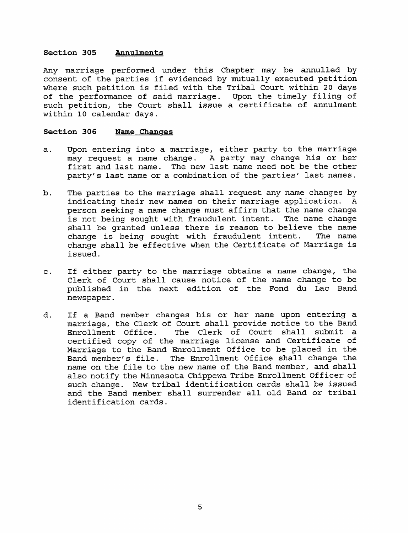## Section 305 Annulments

Any marriage performed under this Chapter may be annulled by consent of the parties if evidenced by mutually executed petition where such petition is filed with the Tribal Court within <sup>20</sup> days of the performance of said marriage. Upon the timely filing of such petition, the Court shall issue <sup>a</sup> certificate of annulment within 10 calendar days.

#### Section 306 Name Changes

- a. Upon entering into <sup>a</sup> marriage, either party to the marriage may request <sup>a</sup> name change. <sup>A</sup> party may change his or her first and last name. The new last name need not be the other party's last name or <sup>a</sup> combination of the parties' last names.
- b. The parties to the marriage shall request any name changes by<br>indicating their new names on their marriage application. A indicating their new names on their marriage application. <sup>A</sup> person seeking <sup>a</sup> name change must affirm that the name change is not being sought with fraudulent intent. The name change shall be granted unless there is reason to believe the name<br>change is being sought with fraudulent intent. The name change is being sought with fraudulent intent. change shall be effective when the Certificate of Marriage is issued.
- c. If either party to the marriage obtains <sup>a</sup> name change, the Clerk of Court shall cause notice of the name change to be published in the next edition of the Fond du Lac Band newspaper.
- d. If <sup>a</sup> Band member changes his or her name upon entering <sup>a</sup> marriage, the Clerk of Court shall provide notice to the Band<br>Enrollment Office. The Clerk of Court shall submit a The Clerk of Court shall submit a certified copy of the marriage license and Certificate of Marriage to the Band Enrollment Office to be placed in the Band member's file. The Enrollment Office shall change the name on the file to the new name of the Band member, and shall also notify the Minnesota Chippewa Tribe Enrollment Officer of such change. New tribal identification cards shall be issued and the Band member shall surrender all old Band or tribal identification cards.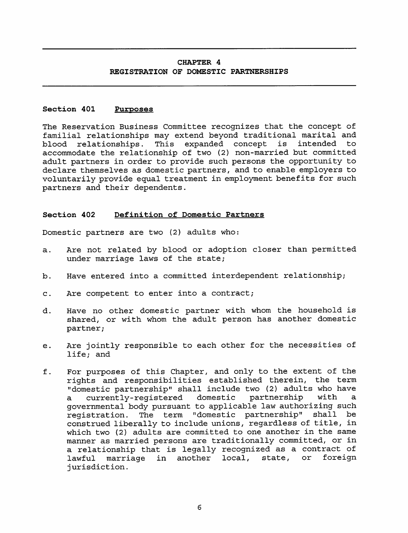## CHAPTER 4 REGISTRATION OF DOMESTIC PARTNERSHIPS

## Section 401 Purposes

The Reservation Business Committee recognizes that the concept of familial relationships may extend beyond traditional marital and blood relationships. This expanded concept is intended to blood relationships. This expanded concept is intended to accommodate the relationship of two (2) non-married but committed adult partners in order to provide such persons the opportunity to declare themselves as domestic partners, and to enable employers to voluntarily provide equal treatment in employment benefits for such partners and their dependents.

#### Section 402 Definition of Domestic Partners

Domestic partners are two (2) adults who:

- a. Are not related by blood or adoption closer than permitted under marriage laws of the state;
- b. Have entered into <sup>a</sup> committed interdependent relationship;
- c. Are competent to enter into <sup>a</sup> contract;
- d. Have no other domestic partner with whom the household is shared, or with whom the adult person has another domestic partner;
- e. Are jointly responsible to each other for the necessities of life; and
- f. For purposes of this Chapter, and only to the extent of the rights and responsibilities established therein, the term "domestic partnership" shall include two (2) adults who have<br>a currently-registered domestic partnership with a a currently-registered domestic governmental body pursuant to applicable law authorizing such registration. The term "domestic partnership" shall be construed liberally to include unions, regardless of title, in which two (2) adults are committed to one another in the same manner as married persons are traditionally committed, or in <sup>a</sup> relationship that is legally recognized as <sup>a</sup> contract of lawful marriage in another local, state, or foreign jurisdiction.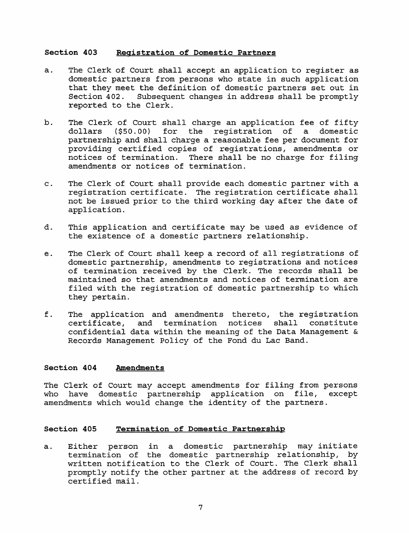## Section 403 Registration of Domestic Partners

- a. The Clerk of Court shall accept an application to register as domestic partners from persons who state in such application that they meet the definition of domestic partners set out in<br>Section 402. Subsequent changes in address shall be promptly Subsequent changes in address shall be promptly reported to the Clerk.
- b. The Clerk of Court shall charge an application fee of fifty<br>dollars (\$50.00) for the reqistration of a domestic for the reqistration of a partnership and shall charge <sup>a</sup> reasonable fee per document for providing certified copies of registrations, amendments or notices of termination. There shall be no charge for filing amendments or notices of termination.
- c. The Clerk of Court shall provide each domestic partner with <sup>a</sup> registration certificate. The registration certificate shall not be issued prior to the third working day after the date of application.
- d. This application and certificate may be used as evidence of the existence of <sup>a</sup> domestic partners relationship.
- e. The Clerk of Court shall keep <sup>a</sup> record of all registrations of domestic partnership, amendments to registrations and notices of termination received by the Clerk. The records shall be maintained so that amendments and notices of termination are filed with the registration of domestic partnership to which they pertain.
- f. The application and amendments thereto, the registration and termination notices shall constitute confidential data within the meaning of the Data Management & Records Management Policy of the Fond du Lac Band.

## Section 404 Amendments

The Clerk of Court may accept amendments for filing from persons<br>who have domestic partnership application on file, except who have domestic partnership application on file, amendments which would change the identity of the partners.

## Section 405 Termination of Domestic Partnership

a. Either person in <sup>a</sup> domestic partnership may initiate termination of the domestic partnership relationship, by written notification to the Clerk of Court. The Clerk shall promptly notify the other partner at the address of record by certified mail.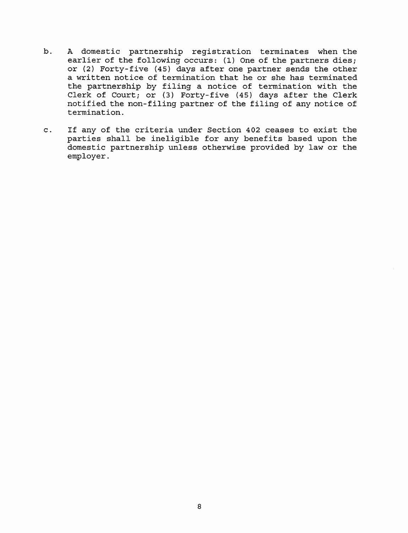- b. <sup>A</sup> domestic partnership registration terminates when the earlier of the following occurs: (1) One of the partners dies; or (2) Forty-five (45) days after one partner sends the other <sup>a</sup> written notice of termination that he or she has terminated the partnership by filing <sup>a</sup> notice of termination with the Clerk of Court; or (3) Forty-five (45) days after the Clerk notified the non-filing partner of the filing of any notice of termination.
- c. If any of the criteria under Section 402 ceases to exist the parties shall be ineligible for any benefits based upon the domestic partnership unless otherwise provided by law or the employer.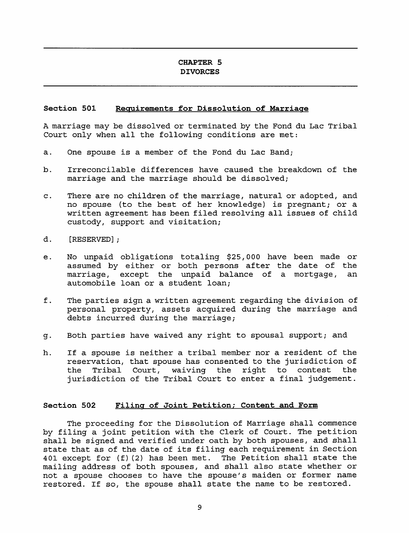## CHAPTER 5 DIVORCES

#### Section 501 Requirements for Dissolution of Marriage

<sup>A</sup> marriage may be dissolved or terminated by the Fond du Lac Tribal Court only when all the following conditions are met:

- a. One spouse is <sup>a</sup> member of the Fond du Lac Band;
- b. Irreconcilable differences have caused the breakdown of the marriage and the marriage should be dissolved;
- c. There are no children of the marriage, natural or adopted, and no spouse (to the best of her knowledge) is pregnant; or <sup>a</sup> written agreement has been filed resolving all issues of child custody, support and visitation;
- d. [RESERVED];
- e. No unpaid obligations totaling \$25,000 have been made or assumed by either or both persons after the date of the<br>marriage, except the unpaid balance of a mortgage, an marriage, except the unpaid balance of a mortgage, automobile loan or <sup>a</sup> student loan;
- f. The parties sign <sup>a</sup> written agreement regarding the division of personal property, assets acquired during the marriage and debts incurred during the marriage;
- g. Both parties have waived any right to spousal support; and
- h. If <sup>a</sup> spouse is neither <sup>a</sup> tribal member nor <sup>a</sup> resident of the reservation, that spouse has consented to the jurisdiction of<br>the Tribal Court, waiving the right to contest the the Tribal Court, waiving the right to contest jurisdiction of the Tribal Court to enter <sup>a</sup> final judgement.

#### Section 502 Filina of Joint Petition; Content and Form

The proceeding for the Dissolution of Marriage shall commence by filing <sup>a</sup> joint petition with the Clerk of Court. The petition shall be signed and verified under oath by both spouses, and shall state that as of the date of its filing each requirement in Section 401 except for (f)(2) has been met. The Petition shall state the mailing address of both spouses, and shall also state whether or not <sup>a</sup> spouse chooses to have the spouse's maiden or former name restored. If so, the spouse shall state the name to be restored.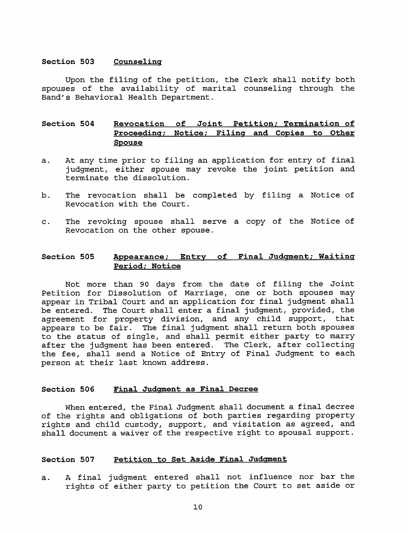## Section 503 Counseling

Upon the filing of the petition, the Clerk shall notify both spouses of the availability of marital counseling through the Band's Behavioral Health Department.

## Section 504 Revocation of Joint Petition; Termination of Proceeding; Notice; Filing and Copies to Other Spouse

- a. At any time prior to filing an application for entry of final judgment, either spouse may revoke the joint petition and terminate the dissolution.
- b. The revocation shall be completed by filing <sup>a</sup> Notice of Revocation with the Court.
- c. The revoking spouse shall serve <sup>a</sup> copy of the Notice of Revocation on the other spouse.

## Section 505 Appearance; Entry of Final Judgment; Waiting Period; Notice

Not more than <sup>90</sup> days from the date of filing the Joint Petition for Dissolution of Marriage, one or both spouses may appear in Tribal Court and an application for final judgment shall be entered. The Court shall enter <sup>a</sup> final judgment, provided, the agreement for property division, and any child support, that appears to be fair. The final judgment shall return both spouses to the status of single, and shall permit either party to marry after the judgment has been entered. The Clerk, after collecting the fee, shall send <sup>a</sup> Notice of Entry of Final Judgment to each person at their last known address.

#### Section 506 Final Judgment as Final Decree

When entered, the Final Judgment shall document <sup>a</sup> final decree of the rights and obligations of both parties regarding property rights and child custody, support, and visitation as agreed, and shall document <sup>a</sup> waiver of the respective right to spousal support.

#### Section 507 Petition to Set Aside Final Judgment

a. <sup>A</sup> final judgment entered shall not influence nor bar the rights of either party to petition the Court to set aside or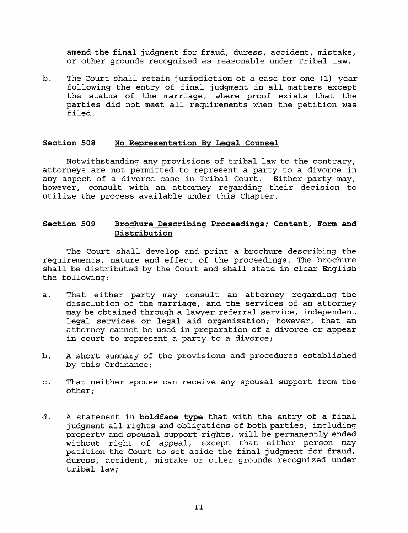amend the final judgment for fraud, duress, accident, mistake, or other grounds recognized as reasonable under Tribal Law.

b. The Court shall retain jurisdiction of <sup>a</sup> case for one (1) year following the entry of final judgment in all matters except the status of the marriage, where proof exists that the parties did not meet all requirements when the petition was filed.

### Section 508 No Representation By Legal Counsel

Notwithstanding any provisions of tribal law to the contrary, attorneys are not permitted to represent <sup>a</sup> party to <sup>a</sup> divorce in any aspect of <sup>a</sup> divorce case in Tribal Court. Either party may, however, consult with an attorney regarding their decision to utilize the process available under this Chapter.

## Section 509 Brochure Describing Proceedings; Content, Form and Pistribution

The Court shall develop and print <sup>a</sup> brochure describing the requirements, nature and effect of the proceedings. The brochure shall be distributed by the Court and shall state in clear English the following:

- a. That either party may consult an attorney regarding the dissolution of the marriage, and the services of an attorney may be obtained through <sup>a</sup> lawyer referral service, independent legal services or legal aid organization; however, that an attorney cannot be used in preparation of <sup>a</sup> divorce or appear in court to represent <sup>a</sup> party to <sup>a</sup> divorce;
- b. <sup>A</sup> short summary of the provisions and procedures established by this Ordinance;
- c. That neither spouse can receive any spousal support from the other;
- d. A statement in boldface type that with the entry of a final judgment all rights and obligations of both parties, including property and spousal support rights, will be permanently ended without right of appeal, except that either person may petition the Court to set aside the final judgment for fraud, duress, accident, mistake or other grounds recognized under tribal law;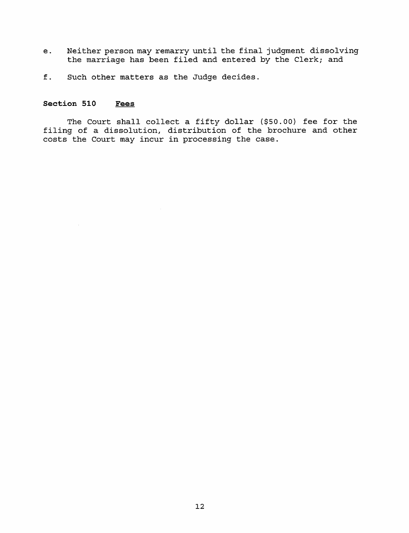- e. Neither person may remarry until the final judgment dissolving the marriage has been filed and entered by the Clerk; and
- f. Such other matters as the Judge decides.

# Section 510 Fees

The Court shall collect <sup>a</sup> fifty dollar (\$50.00) fee for the filing of <sup>a</sup> dissolution, distribution of the brochure and other costs the Court may incur in processing the case.